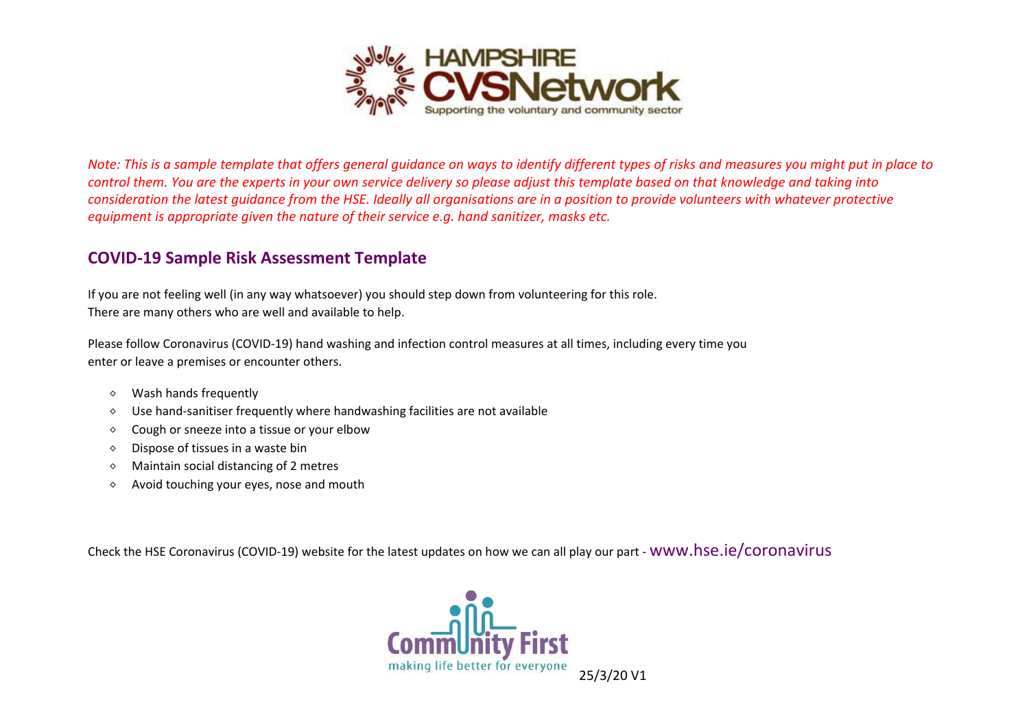

*Note: This is a sample template that offers general guidance on ways to identify different types of risks and measures you might put in place to control them. You are the experts in your own service delivery so please adjust this template based on that knowledge and taking into consideration the latest guidance from the HSE. Ideally all organisations are in a position to provide volunteers with whatever protective equipment is appropriate given the nature of their service e.g. hand sanitizer, masks etc.*

## **COVID-19 Sample Risk Assessment Template**

If you are not feeling well (in any way whatsoever) you should step down from volunteering for this role. There are many others who are well and available to help.

Please follow Coronavirus (COVID-19) hand washing and infection control measures at all times, including every time you enter or leave a premises or encounter others.

- $\diamond$  Wash hands frequently
- $\circ$  Use hand-sanitiser frequently where handwashing facilities are not available
- $\diamond$  Cough or sneeze into a tissue or your elbow
- $\diamond$  Dispose of tissues in a waste bin
- $\diamond$  Maintain social distancing of 2 metres
- $\Diamond$  Avoid touching your eyes, nose and mouth

Check the HSE Coronavirus (COVID-19) website for the latest updates on how we can all play our part - [www.hse.ie/coronavirus](http://www.hse.ie/coronavirus)

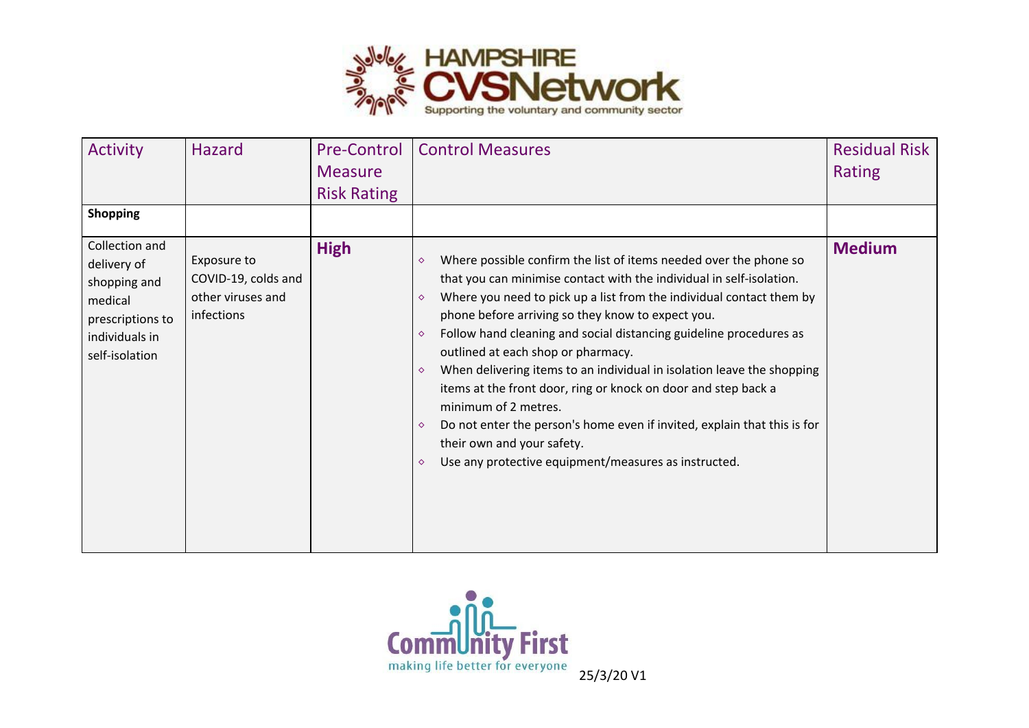

| <b>Activity</b><br><b>Shopping</b>                                                                               | <b>Hazard</b>                                                         | <b>Pre-Control</b><br><b>Measure</b><br><b>Risk Rating</b> | <b>Control Measures</b>                                                                                                                                                                                                                                                                                                                                                                                                                                                                                                                                                                                                                                                                                                                                                                                      | <b>Residual Risk</b><br>Rating |
|------------------------------------------------------------------------------------------------------------------|-----------------------------------------------------------------------|------------------------------------------------------------|--------------------------------------------------------------------------------------------------------------------------------------------------------------------------------------------------------------------------------------------------------------------------------------------------------------------------------------------------------------------------------------------------------------------------------------------------------------------------------------------------------------------------------------------------------------------------------------------------------------------------------------------------------------------------------------------------------------------------------------------------------------------------------------------------------------|--------------------------------|
| Collection and<br>delivery of<br>shopping and<br>medical<br>prescriptions to<br>individuals in<br>self-isolation | Exposure to<br>COVID-19, colds and<br>other viruses and<br>infections | <b>High</b>                                                | Where possible confirm the list of items needed over the phone so<br>$\Diamond$<br>that you can minimise contact with the individual in self-isolation.<br>Where you need to pick up a list from the individual contact them by<br>$\Diamond$<br>phone before arriving so they know to expect you.<br>Follow hand cleaning and social distancing guideline procedures as<br>$\Diamond$<br>outlined at each shop or pharmacy.<br>When delivering items to an individual in isolation leave the shopping<br>$\Diamond$<br>items at the front door, ring or knock on door and step back a<br>minimum of 2 metres.<br>Do not enter the person's home even if invited, explain that this is for<br>$\Diamond$<br>their own and your safety.<br>Use any protective equipment/measures as instructed.<br>$\Diamond$ | <b>Medium</b>                  |

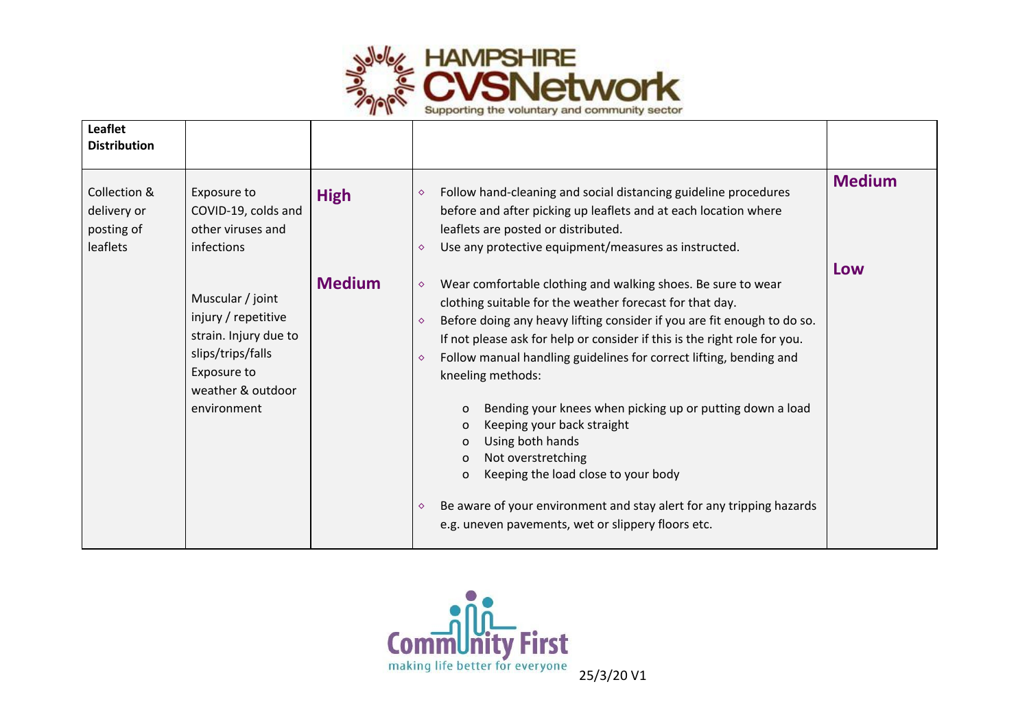

| <b>Leaflet</b><br><b>Distribution</b>                 |                                                                                                                                          |               |                                                                                                                                                                                                                                                                                                                                                                                                                                                                                                                                                                                                                                                                                                                                                                                          |               |
|-------------------------------------------------------|------------------------------------------------------------------------------------------------------------------------------------------|---------------|------------------------------------------------------------------------------------------------------------------------------------------------------------------------------------------------------------------------------------------------------------------------------------------------------------------------------------------------------------------------------------------------------------------------------------------------------------------------------------------------------------------------------------------------------------------------------------------------------------------------------------------------------------------------------------------------------------------------------------------------------------------------------------------|---------------|
| Collection &<br>delivery or<br>posting of<br>leaflets | Exposure to<br>COVID-19, colds and<br>other viruses and<br>infections                                                                    | <b>High</b>   | Follow hand-cleaning and social distancing guideline procedures<br>$\Diamond$<br>before and after picking up leaflets and at each location where<br>leaflets are posted or distributed.<br>Use any protective equipment/measures as instructed.<br>$\Diamond$                                                                                                                                                                                                                                                                                                                                                                                                                                                                                                                            | <b>Medium</b> |
|                                                       | Muscular / joint<br>injury / repetitive<br>strain. Injury due to<br>slips/trips/falls<br>Exposure to<br>weather & outdoor<br>environment | <b>Medium</b> | Wear comfortable clothing and walking shoes. Be sure to wear<br>$\Diamond$<br>clothing suitable for the weather forecast for that day.<br>Before doing any heavy lifting consider if you are fit enough to do so.<br>$\Diamond$<br>If not please ask for help or consider if this is the right role for you.<br>Follow manual handling guidelines for correct lifting, bending and<br>$\Diamond$<br>kneeling methods:<br>Bending your knees when picking up or putting down a load<br>$\mathbf 0$<br>Keeping your back straight<br>O<br>Using both hands<br>O<br>Not overstretching<br>$\Omega$<br>Keeping the load close to your body<br>$\mathbf 0$<br>Be aware of your environment and stay alert for any tripping hazards<br>♦<br>e.g. uneven pavements, wet or slippery floors etc. | Low           |

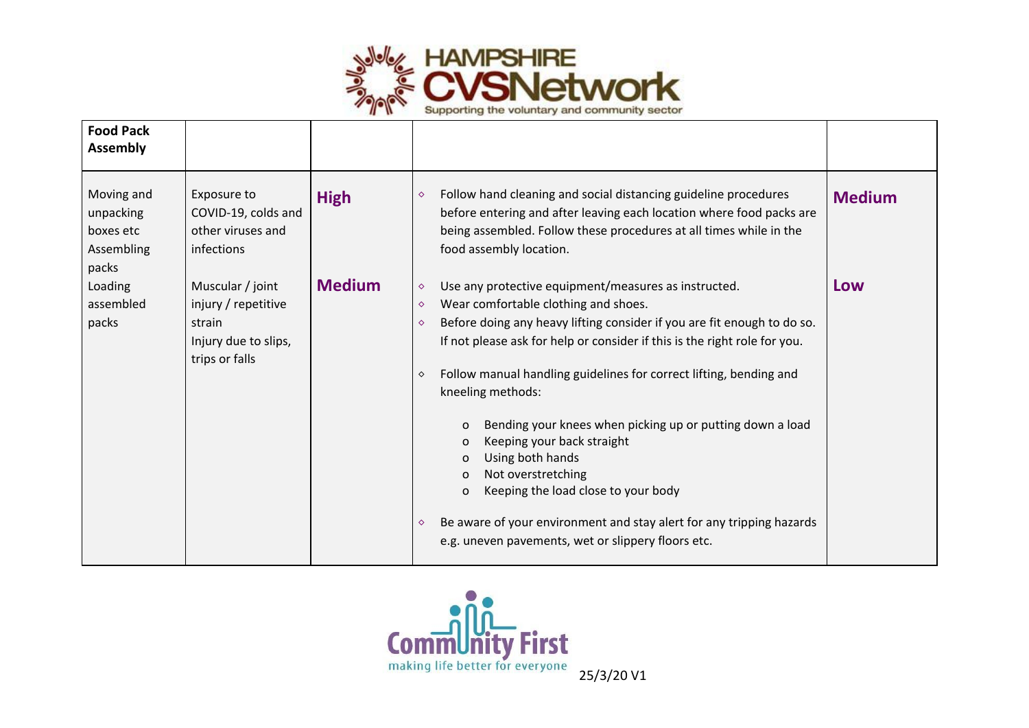

| <b>Food Pack</b><br><b>Assembly</b>                         |                                                                                             |               |                                                                                                                                                                                                                                                                                                                                                                                                                                                                                                                                                                                                                                                                                                                                                                                                               |               |
|-------------------------------------------------------------|---------------------------------------------------------------------------------------------|---------------|---------------------------------------------------------------------------------------------------------------------------------------------------------------------------------------------------------------------------------------------------------------------------------------------------------------------------------------------------------------------------------------------------------------------------------------------------------------------------------------------------------------------------------------------------------------------------------------------------------------------------------------------------------------------------------------------------------------------------------------------------------------------------------------------------------------|---------------|
| Moving and<br>unpacking<br>boxes etc<br>Assembling<br>packs | Exposure to<br>COVID-19, colds and<br>other viruses and<br>infections                       | <b>High</b>   | Follow hand cleaning and social distancing guideline procedures<br>$\Diamond$<br>before entering and after leaving each location where food packs are<br>being assembled. Follow these procedures at all times while in the<br>food assembly location.                                                                                                                                                                                                                                                                                                                                                                                                                                                                                                                                                        | <b>Medium</b> |
| Loading<br>assembled<br>packs                               | Muscular / joint<br>injury / repetitive<br>strain<br>Injury due to slips,<br>trips or falls | <b>Medium</b> | Use any protective equipment/measures as instructed.<br>$\Diamond$<br>Wear comfortable clothing and shoes.<br>$\Diamond$<br>Before doing any heavy lifting consider if you are fit enough to do so.<br>$\Diamond$<br>If not please ask for help or consider if this is the right role for you.<br>Follow manual handling guidelines for correct lifting, bending and<br>$\Diamond$<br>kneeling methods:<br>Bending your knees when picking up or putting down a load<br>$\mathbf{O}$<br>Keeping your back straight<br>$\mathbf{O}$<br>Using both hands<br>$\mathbf{O}$<br>Not overstretching<br>$\mathbf 0$<br>Keeping the load close to your body<br>$\mathbf 0$<br>Be aware of your environment and stay alert for any tripping hazards<br>$\Diamond$<br>e.g. uneven pavements, wet or slippery floors etc. | Low           |